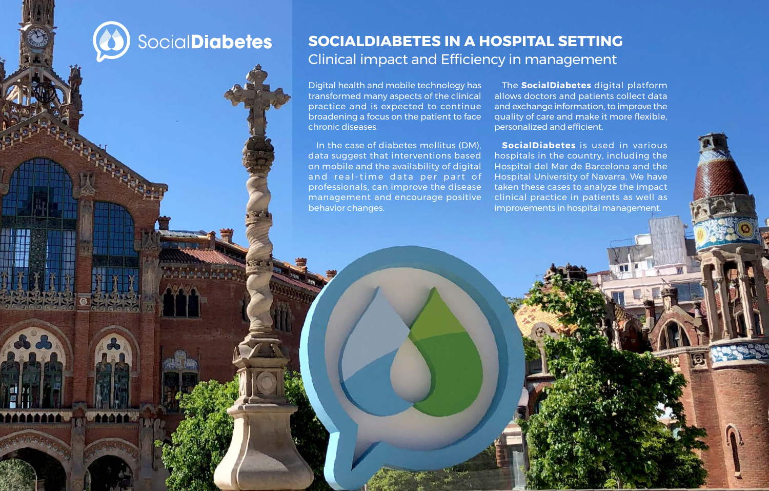

# **SOCIALDIABETES IN A HOSPITAL SETTING** Clinical impact and Efficiency in management

Digital health and mobile technology has transformed many aspects of the clinical practice and is expected to continue broadening a focus on the patient to face chronic diseases.

In the case of diabetes mellitus (DM), data suggest that interventions based on mobile and the availability of digital and real-time data per part of professionals, can improve the disease management and encourage positive behavior changes.

The **SocialDiabetes** digital platform allows doctors and patients collect data and exchange information, to improve the quality of care and make it more flexible, personalized and efficient.

**SocialDiabetes** is used in various hospitals in the country, including the Hospital del Mar de Barcelona and the Hospital University of Navarra. We have taken these cases to analyze the impact clinical practice in patients as well as improvements in hospital management.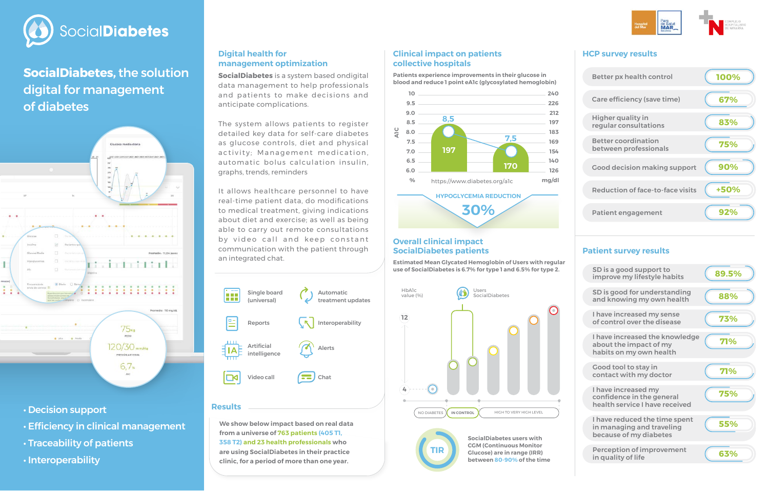

**SocialDiabetes,** the solution digital for management of diabetes



- Decision support
- Efficiency in clinical management
- Traceability of patients
- Interoperability

### **Digital health for management optimization**

**SocialDiabetes** is a system based ondigital data management to help professionals and patients to make decisions and anticipate complications.

The system allows patients to register detailed key data for self-care diabetes as glucose controls, diet and physical activity; Management medication, automatic bolus calculation insulin, graphs, trends, reminders

It allows healthcare personnel to have real-time patient data, do modifications to medical treatment, giving indications about diet and exercise; as well as being able to carry out remote consultations by video call and keep constant communication with the patient through an integrated chat.



# **Results**

**We show below impact based on real data from a universe of 763 patients (405 T1, 358 T2) and 23 health professionals who are using SocialDiabetes in their practice clinic, for a period of more than one year.**

## **Clinical impact on patients collective hospitals**

**Patients experience improvements in their glucose in blood and reduce 1 point eA1c (glycosylated hemoglobin)**



### **Overall clinical impact SocialDiabetes patients**

**Estimated Mean Glycated Hemoglobin of Users with regular use of SocialDiabetes is 6.7% for type 1 and 6.5% for type 2.**





**SocialDiabetes users with CGM (Continuous Monitor Glucose) are in range (IRR) between 80-90% of the time**

### **HCP survey results**

| Better px health control                            | 100% |
|-----------------------------------------------------|------|
| Care efficiency (save time)                         | 67%  |
| <b>Higher quality in</b><br>regular consultations   | 83%  |
| <b>Better coordination</b><br>between professionals | 75%  |
| <b>Good decision making support</b>                 | 90%  |
| Reduction of face-to-face visits                    | +50% |
| Patient engagement                                  | 92%  |

# **Patient survey results**

| SD is a good support to<br>improve my lifestyle habits                               | 89.5% |  |
|--------------------------------------------------------------------------------------|-------|--|
| SD is good for understanding<br>and knowing my own health                            | 88%   |  |
| I have increased my sense<br>of control over the disease                             | 73%   |  |
| I have increased the knowledge<br>about the impact of my<br>habits on my own health  | 71%   |  |
| Good tool to stay in<br>contact with my doctor                                       | 71%   |  |
| I have increased my<br>confidence in the general<br>health service I have received   | 75%   |  |
| I have reduced the time spent<br>in managing and traveling<br>because of my diabetes | 55%   |  |
| <b>Perception of improvement</b><br>in quality of life                               | 63%   |  |